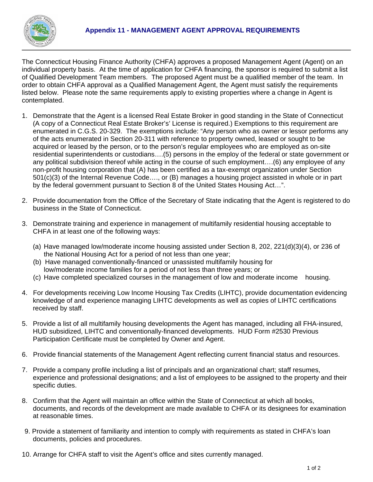

The Connecticut Housing Finance Authority (CHFA) approves a proposed Management Agent (Agent) on an individual property basis. At the time of application for CHFA financing, the sponsor is required to submit a list of Qualified Development Team members. The proposed Agent must be a qualified member of the team. In order to obtain CHFA approval as a Qualified Management Agent, the Agent must satisfy the requirements listed below. Please note the same requirements apply to existing properties where a change in Agent is contemplated.

- 1. Demonstrate that the Agent is a licensed Real Estate Broker in good standing in the State of Connecticut (A copy of a Connecticut Real Estate Broker's' License is required.) Exemptions to this requirement are enumerated in C.G.S. 20-329. The exemptions include: "Any person who as owner or lessor performs any of the acts enumerated in Section 20-311 with reference to property owned, leased or sought to be acquired or leased by the person, or to the person's regular employees who are employed as on-site residential superintendents or custodians….(5) persons in the employ of the federal or state government or any political subdivision thereof while acting in the course of such employment….(6) any employee of any non-profit housing corporation that (A) has been certified as a tax-exempt organization under Section 501(c)(3) of the Internal Revenue Code…., or (B) manages a housing project assisted in whole or in part by the federal government pursuant to Section 8 of the United States Housing Act…".
- 2. Provide documentation from the Office of the Secretary of State indicating that the Agent is registered to do business in the State of Connecticut.
- 3. Demonstrate training and experience in management of multifamily residential housing acceptable to CHFA in at least one of the following ways:
	- (a) Have managed low/moderate income housing assisted under Section 8, 202, 221(d)(3)(4), or 236 of the National Housing Act for a period of not less than one year;
	- (b) Have managed conventionally-financed or unassisted multifamily housing for low/moderate income families for a period of not less than three years; or
	- (c) Have completed specialized courses in the management of low and moderate income housing.
- 4. For developments receiving Low Income Housing Tax Credits (LIHTC), provide documentation evidencing knowledge of and experience managing LIHTC developments as well as copies of LIHTC certifications received by staff.
- 5. Provide a list of all multifamily housing developments the Agent has managed, including all FHA-insured, HUD subsidized, LIHTC and conventionally-financed developments. HUD Form #2530 Previous Participation Certificate must be completed by Owner and Agent.
- 6. Provide financial statements of the Management Agent reflecting current financial status and resources.
- 7. Provide a company profile including a list of principals and an organizational chart; staff resumes, experience and professional designations; and a list of employees to be assigned to the property and their specific duties.
- 8. Confirm that the Agent will maintain an office within the State of Connecticut at which all books, documents, and records of the development are made available to CHFA or its designees for examination at reasonable times.
- 9. Provide a statement of familiarity and intention to comply with requirements as stated in CHFA's loan documents, policies and procedures.
- 10. Arrange for CHFA staff to visit the Agent's office and sites currently managed.